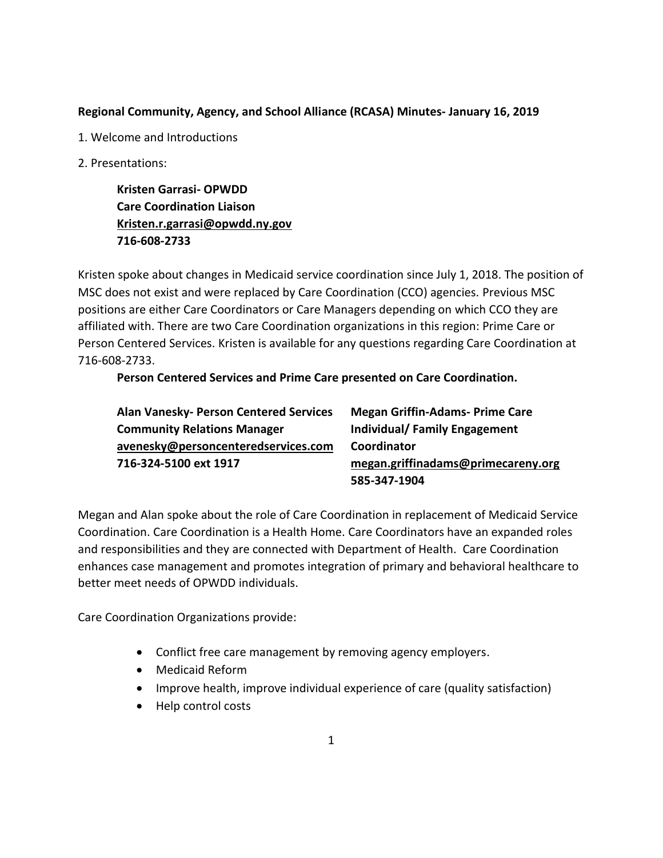### **Regional Community, Agency, and School Alliance (RCASA) Minutes- January 16, 2019**

- 1. Welcome and Introductions
- 2. Presentations:

**Kristen Garrasi- OPWDD Care Coordination Liaison [Kristen.r.garrasi@opwdd.ny.gov](mailto:Kristen.r.garrasi@opwdd.ny.gov) 716-608-2733**

Kristen spoke about changes in Medicaid service coordination since July 1, 2018. The position of MSC does not exist and were replaced by Care Coordination (CCO) agencies. Previous MSC positions are either Care Coordinators or Care Managers depending on which CCO they are affiliated with. There are two Care Coordination organizations in this region: Prime Care or Person Centered Services. Kristen is available for any questions regarding Care Coordination at 716-608-2733.

## **Person Centered Services and Prime Care presented on Care Coordination.**

| <b>Alan Vanesky- Person Centered Services</b> | <b>Megan Griffin-Adams- Prime Care</b> |
|-----------------------------------------------|----------------------------------------|
| <b>Community Relations Manager</b>            | <b>Individual/Family Engagement</b>    |
| avenesky@personcenteredservices.com           | Coordinator                            |
| 716-324-5100 ext 1917                         | megan.griffinadams@primecareny.org     |
|                                               | 585-347-1904                           |

Megan and Alan spoke about the role of Care Coordination in replacement of Medicaid Service Coordination. Care Coordination is a Health Home. Care Coordinators have an expanded roles and responsibilities and they are connected with Department of Health. Care Coordination enhances case management and promotes integration of primary and behavioral healthcare to better meet needs of OPWDD individuals.

Care Coordination Organizations provide:

- Conflict free care management by removing agency employers.
- Medicaid Reform
- Improve health, improve individual experience of care (quality satisfaction)
- Help control costs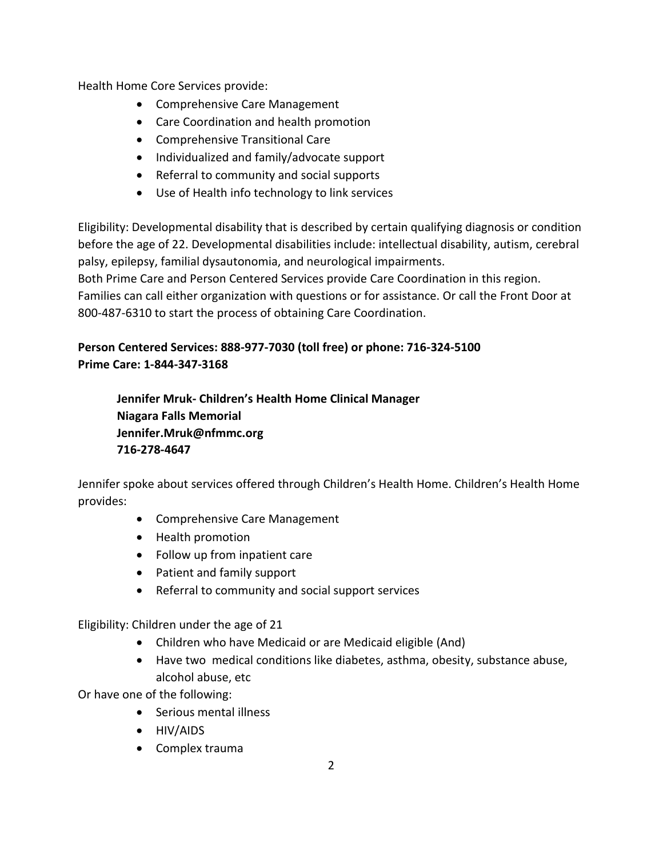Health Home Core Services provide:

- Comprehensive Care Management
- Care Coordination and health promotion
- Comprehensive Transitional Care
- Individualized and family/advocate support
- Referral to community and social supports
- Use of Health info technology to link services

Eligibility: Developmental disability that is described by certain qualifying diagnosis or condition before the age of 22. Developmental disabilities include: intellectual disability, autism, cerebral palsy, epilepsy, familial dysautonomia, and neurological impairments.

Both Prime Care and Person Centered Services provide Care Coordination in this region. Families can call either organization with questions or for assistance. Or call the Front Door at 800-487-6310 to start the process of obtaining Care Coordination.

# **Person Centered Services: 888-977-7030 (toll free) or phone: 716-324-5100 Prime Care: 1-844-347-3168**

**Jennifer Mruk- Children's Health Home Clinical Manager Niagara Falls Memorial Jennifer.Mruk@nfmmc.org 716-278-4647**

Jennifer spoke about services offered through Children's Health Home. Children's Health Home provides:

- Comprehensive Care Management
- Health promotion
- Follow up from inpatient care
- Patient and family support
- Referral to community and social support services

Eligibility: Children under the age of 21

- Children who have Medicaid or are Medicaid eligible (And)
- Have two medical conditions like diabetes, asthma, obesity, substance abuse, alcohol abuse, etc

Or have one of the following:

- Serious mental illness
- HIV/AIDS
- Complex trauma